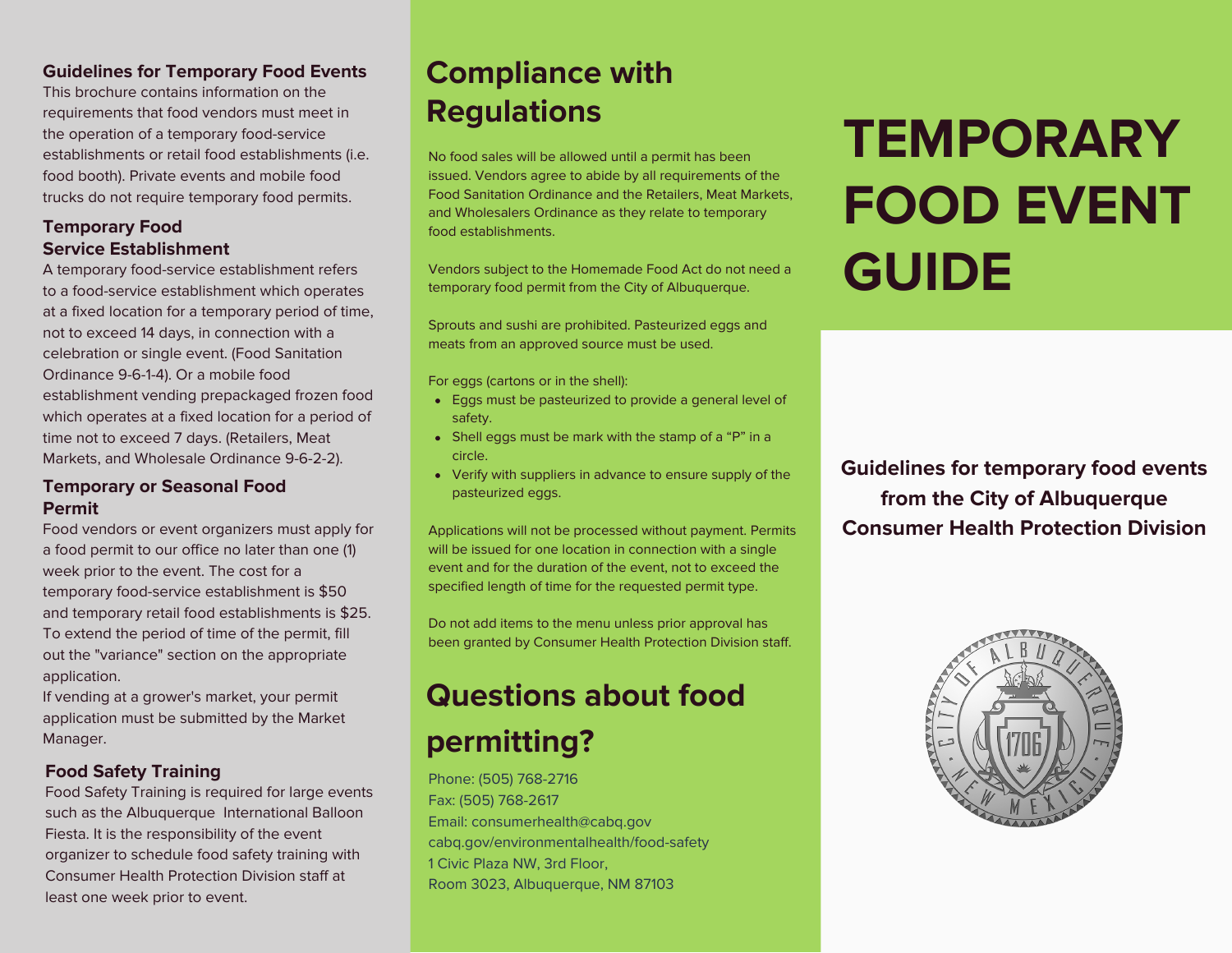### **Guidelines for Temporary Food Events**

This brochure contains information on the requirements that food vendors must meet in the operation of a temporary food-service establishments or retail food establishments (i.e. food booth). Private events and mobile food trucks do not require temporary food permits.

### **Temporary Food Service Establishment**

A temporary food-service establishment refers to a food-service establishment which operates at a fixed location for a temporary period of time, not to exceed 14 days, in connection with a celebration or single event. (Food Sanitation Ordinance 9-6-1-4). Or a mobile food establishment vending prepackaged frozen food which operates at a fixed location for a period of time not to exceed 7 days. (Retailers, Meat Markets, and Wholesale Ordinance 9-6-2-2).

### **Temporary or Seasonal Food Permit**

Food vendors or event organizers must apply for a food permit to our office no later than one (1) week prior to the event. The cost for a temporary food-service establishment is \$50 and temporary retail food establishments is \$25. To extend the period of time of the permit, fill out the "variance" section on the appropriate application.

If vending at a grower's market, your permit application must be submitted by the Market Manager.

### **Food Safety Training**

Food Safety Training is required for large events such as the Albuquerque International Balloon Fiesta. It is the responsibility of the event organizer to schedule food safety training with Consumer Health Protection Division staff at least one week prior to event.

## **Compliance with Regulations**

No food sales will be allowed until a permit has been issued. Vendors agree to abide by all requirements of the Food Sanitation Ordinance and the Retailers, Meat Markets, and Wholesalers Ordinance as they relate to temporary food establishments.

Vendors subject to the Homemade Food Act do not need a temporary food permit from the City of Albuquerque.

Sprouts and sushi are prohibited. Pasteurized eggs and meats from an approved source must be used.

For eggs (cartons or in the shell):

- Eggs must be pasteurized to provide a general level of safety.
- Shell eggs must be mark with the stamp of a "P" in a circle.
- Verify with suppliers in advance to ensure supply of the pasteurized eggs.

Applications will not be processed without payment. Permits will be issued for one location in connection with a single event and for the duration of the event, not to exceed the specified length of time for the requested permit type.

Do not add items to the menu unless prior approval has been granted by Consumer Health Protection Division staff.

# **Questions about food permitting?**

Phone: (505) 768-2716 Fax: (505) 768-2617 Email: consumerhealth@cabq.gov cabq.gov/environmentalhealth/food-safety 1 Civic Plaza NW, 3rd Floor, Room 3023, Albuquerque, NM 87103

# **TEMPORARY FOOD EVENT GUIDE**

**Guidelines for temporary food events from the City of Albuquerque Consumer Health Protection Division**